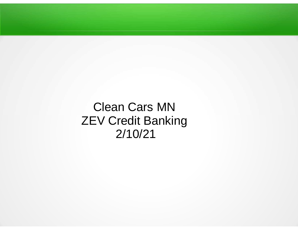Clean Cars MNZEV Credit Banking2/10/21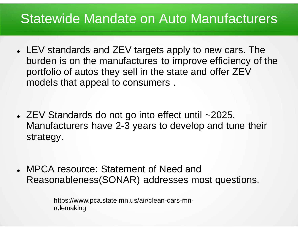### Statewide Mandate on Auto Manufacturers

- $\bullet$  LEV standards and ZEV targets apply to new cars. The burden is on the manufactures to improve efficiency of theportfolio of autos they sell in the state and offer ZEVmodels that appeal to consumers .
- $\bullet$  ZEV Standards do not go into effect until ~2025. Manufacturers have 2-3 years to develop and tune their strategy.
- $\bullet$  MPCA resource: Statement of Need and Reasonableness(SONAR) addresses most questions.

https://www.pca.state.mn.us/air/clean-cars-mnrulemaking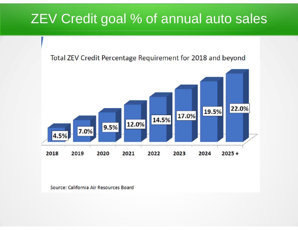## ZEV Credit goal % of annual auto sales

### Total ZEV Credit Percentage Requirement for 2018 and beyond



Source: California Air Resources Board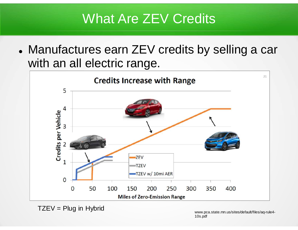## What Are ZEV Credits

 $\bullet$  Manufactures earn ZEV credits by selling a car with an all electric range.



 $TZEV = Plug$  in Hybrid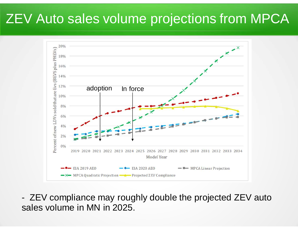## ZEV Auto sales volume projections from MPCA



- ZEV compliance may roughly double the projected ZEV auto sales volume in MN in 2025.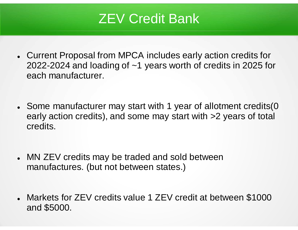## ZEV Credit Bank

- $\bullet$  Current Proposal from MPCA includes early action credits for 2022-2024 and loading of ~1 years worth of credits in 2025 for each manufacturer.
- $\bullet$  Some manufacturer may start with 1 year of allotment credits(0 early action credits), and some may start with >2 years of total credits.
- $\bullet$  MN ZEV credits may be traded and sold between manufactures. (but not between states.)
- $\bullet$  Markets for ZEV credits value 1 ZEV credit at between \$1000 and \$5000.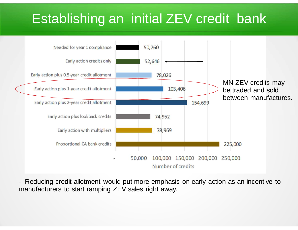## Establishing an initial ZEV credit bank



- Reducing credit allotment would put more emphasis on early action as an incentive to manufacturers to start ramping ZEV sales right away.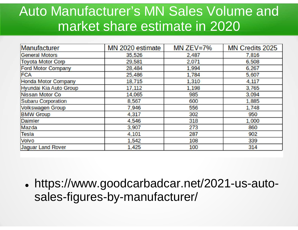## Auto Manufacturer's MN Sales Volume and market share estimate in 2020

| <b>Manufacturer</b>        | MN 2020 estimate | MN ZEV=7% | <b>MN Credits 2025</b> |
|----------------------------|------------------|-----------|------------------------|
| <b>General Motors</b>      | 35,526           | 2,487     | 7,816                  |
| <b>Toyota Motor Corp</b>   | 29,581           | 2,071     | 6,508                  |
| <b>Ford Motor Company</b>  | 28,484           | 1,994     | 6,267                  |
| <b>FCA</b>                 | 25,486           | 1,784     | 5,607                  |
| <b>Honda Motor Company</b> | 18,715           | 1,310     | 4,117                  |
| Hyundai Kia Auto Group     | 17,112           | 1,198     | 3,765                  |
| <b>Nissan Motor Co</b>     | 14,065           | 985       | 3,094                  |
| <b>Subaru Corporation</b>  | 8,567            | 600       | 1,885                  |
| <b>Volkswagen Group</b>    | 7,946            | 556       | 1,748                  |
| <b>BMW Group</b>           | 4,317            | 302       | 950                    |
| <b>Daimler</b>             | 4,546            | 318       | 1,000                  |
| Mazda                      | 3,907            | 273       | 860                    |
| <b>Tesla</b>               | 4,101            | 287       | 902                    |
| <b>Volvo</b>               | 1,542            | 108       | 339                    |
| <b>Jaguar Land Rover</b>   | 1,425            | 100       | 314                    |

● https://www.goodcarbadcar.net/2021-us-autosales-figures-by-manufacturer/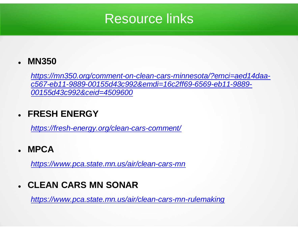### Resource links

#### $\bullet$ **MN350**

https://mn350.org/comment-on-clean-cars-minnesota/?emci=aed14daac567-eb11-9889-00155d43c992&emdi=16c2ff69-6569-eb11-9889-00155d43c992&ceid=4509600

### 0 **FRESH ENERGY**

https://fresh-energy.org/clean-cars-comment/

#### $\bullet$ **MPCA**

https://www.pca.state.mn.us/air/clean-cars-mn

### 0 **CLEAN CARS MN SONAR**

https://www.pca.state.mn.us/air/clean-cars-mn-rulemaking